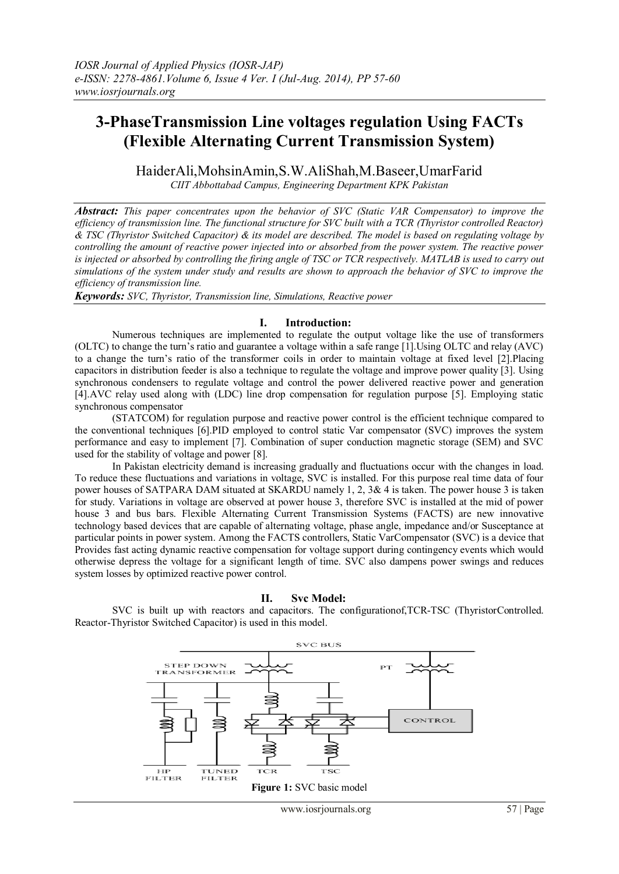# **3-PhaseTransmission Line voltages regulation Using FACTs (Flexible Alternating Current Transmission System)**

HaiderAli,MohsinAmin,S.W.AliShah,M.Baseer,UmarFarid *CIIT Abbottabad Campus, Engineering Department KPK Pakistan*

*Abstract: This paper concentrates upon the behavior of SVC (Static VAR Compensator) to improve the efficiency of transmission line. The functional structure for SVC built with a TCR (Thyristor controlled Reactor) & TSC (Thyristor Switched Capacitor) & its model are described. The model is based on regulating voltage by controlling the amount of reactive power injected into or absorbed from the power system. The reactive power*  is injected or absorbed by controlling the firing angle of TSC or TCR respectively. MATLAB is used to carry out *simulations of the system under study and results are shown to approach the behavior of SVC to improve the efficiency of transmission line.*

*Keywords: SVC, Thyristor, Transmission line, Simulations, Reactive power*

## **I. Introduction:**

Numerous techniques are implemented to regulate the output voltage like the use of transformers (OLTC) to change the turn's ratio and guarantee a voltage within a safe range [1].Using OLTC and relay (AVC) to a change the turn's ratio of the transformer coils in order to maintain voltage at fixed level [2].Placing capacitors in distribution feeder is also a technique to regulate the voltage and improve power quality [3]. Using synchronous condensers to regulate voltage and control the power delivered reactive power and generation [4].AVC relay used along with (LDC) line drop compensation for regulation purpose [5]. Employing static synchronous compensator

(STATCOM) for regulation purpose and reactive power control is the efficient technique compared to the conventional techniques [6].PID employed to control static Var compensator (SVC) improves the system performance and easy to implement [7]. Combination of super conduction magnetic storage (SEM) and SVC used for the stability of voltage and power [8].

In Pakistan electricity demand is increasing gradually and fluctuations occur with the changes in load. To reduce these fluctuations and variations in voltage, SVC is installed. For this purpose real time data of four power houses of SATPARA DAM situated at SKARDU namely 1, 2, 3& 4 is taken. The power house 3 is taken for study. Variations in voltage are observed at power house 3, therefore SVC is installed at the mid of power house 3 and bus bars. Flexible Alternating Current Transmission Systems (FACTS) are new innovative technology based devices that are capable of alternating voltage, phase angle, impedance and/or Susceptance at particular points in power system. Among the FACTS controllers, Static VarCompensator (SVC) is a device that Provides fast acting dynamic reactive compensation for voltage support during contingency events which would otherwise depress the voltage for a significant length of time. SVC also dampens power swings and reduces system losses by optimized reactive power control.

### **II. Svc Model:**

SVC is built up with reactors and capacitors. The configurationof,TCR-TSC (ThyristorControlled. Reactor-Thyristor Switched Capacitor) is used in this model.

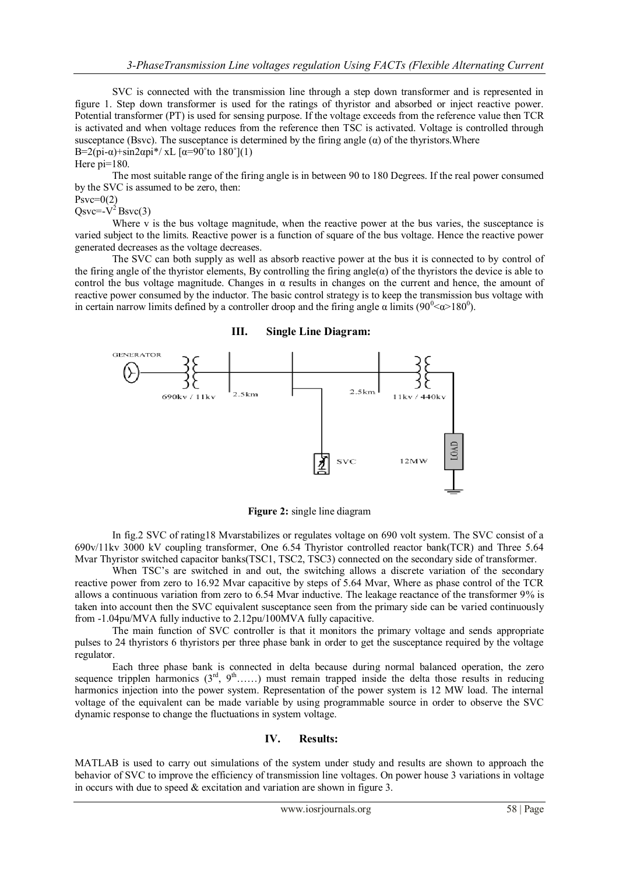SVC is connected with the transmission line through a step down transformer and is represented in figure 1. Step down transformer is used for the ratings of thyristor and absorbed or inject reactive power. Potential transformer (PT) is used for sensing purpose. If the voltage exceeds from the reference value then TCR is activated and when voltage reduces from the reference then TSC is activated. Voltage is controlled through susceptance (Bsvc). The susceptance is determined by the firing angle  $(\alpha)$  of the thyristors. Where B=2(pi-α)+sin2αpi\*/ xL [α=90<sup>°</sup>to 180<sup>°</sup>](1)

Here pi=180.

The most suitable range of the firing angle is in between 90 to 180 Degrees. If the real power consumed by the SVC is assumed to be zero, then:

 $P$ svc= $0(2)$ 

 $Q$ svc=- $V^2$ Bsvc $(3)$ 

Where v is the bus voltage magnitude, when the reactive power at the bus varies, the susceptance is varied subject to the limits. Reactive power is a function of square of the bus voltage. Hence the reactive power generated decreases as the voltage decreases.

The SVC can both supply as well as absorb reactive power at the bus it is connected to by control of the firing angle of the thyristor elements. By controlling the firing angle( $\alpha$ ) of the thyristors the device is able to control the bus voltage magnitude. Changes in  $\alpha$  results in changes on the current and hence, the amount of reactive power consumed by the inductor. The basic control strategy is to keep the transmission bus voltage with in certain narrow limits defined by a controller droop and the firing angle  $\alpha$  limits (90<sup>0</sup> <  $\alpha$  > 180<sup>0</sup>).





**Figure 2:** single line diagram

In fig.2 SVC of rating18 Mvarstabilizes or regulates voltage on 690 volt system. The SVC consist of a 690v/11kv 3000 kV coupling transformer, One 6.54 Thyristor controlled reactor bank(TCR) and Three 5.64 Mvar Thyristor switched capacitor banks(TSC1, TSC2, TSC3) connected on the secondary side of transformer.

When TSC's are switched in and out, the switching allows a discrete variation of the secondary reactive power from zero to 16.92 Mvar capacitive by steps of 5.64 Mvar, Where as phase control of the TCR allows a continuous variation from zero to 6.54 Mvar inductive. The leakage reactance of the transformer 9% is taken into account then the SVC equivalent susceptance seen from the primary side can be varied continuously from -1.04pu/MVA fully inductive to 2.12pu/100MVA fully capacitive.

The main function of SVC controller is that it monitors the primary voltage and sends appropriate pulses to 24 thyristors 6 thyristors per three phase bank in order to get the susceptance required by the voltage regulator.

Each three phase bank is connected in delta because during normal balanced operation, the zero sequence tripplen harmonics  $(3<sup>rd</sup>, 9<sup>th</sup>......)$  must remain trapped inside the delta those results in reducing harmonics injection into the power system. Representation of the power system is 12 MW load. The internal voltage of the equivalent can be made variable by using programmable source in order to observe the SVC dynamic response to change the fluctuations in system voltage.

# **IV. Results:**

MATLAB is used to carry out simulations of the system under study and results are shown to approach the behavior of SVC to improve the efficiency of transmission line voltages. On power house 3 variations in voltage in occurs with due to speed & excitation and variation are shown in figure 3.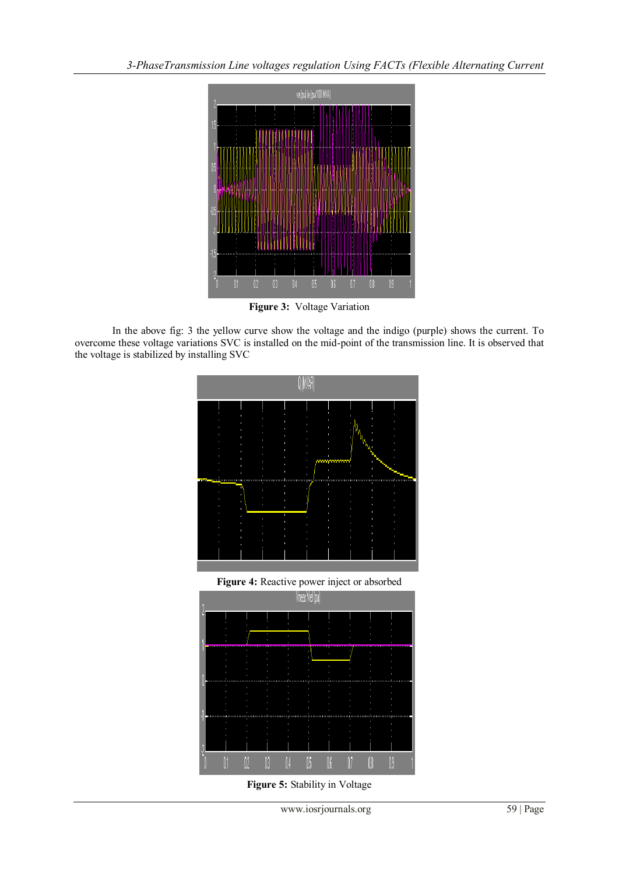

**Figure 3:** Voltage Variation

In the above fig: 3 the yellow curve show the voltage and the indigo (purple) shows the current. To overcome these voltage variations SVC is installed on the mid-point of the transmission line. It is observed that the voltage is stabilized by installing SVC



**Figure 5:** Stability in Voltage